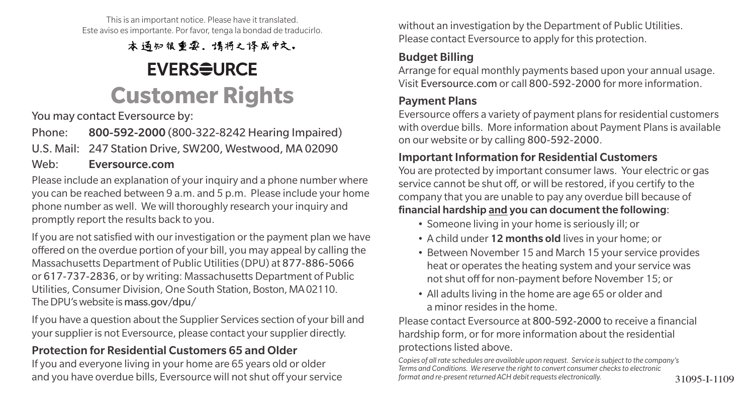This is an important notice. Please have it translated. Este aviso es importante. Por favor, tenga la bondad de traducirlo.

本通知很重要。请将之译成中文。

## **EVERSEURCE Customer Rights**

You may contact Eversource by:

Phone: 800-592-2000 (800-322-8242 Hearing Impaired)

U.S. Mail: 247 Station Drive, SW200, Westwood, MA 02090

#### Web: Eversource.com

Please include an explanation of your inquiry and a phone number where you can be reached between 9 a.m. and 5 p.m. Please include your home phone number as well. We will thoroughly research your inquiry and promptly report the results back to you.

If you are not satisfied with our investigation or the payment plan we have offered on the overdue portion of your bill, you may appeal by calling the Massachusetts Department of Public Utilities (DPU) at 877-886-5066 or 617-737-2836, or by writing: Massachusetts Department of Public Utilities, Consumer Division, One South Station, Boston, MA 02110. The DPU's website is mass.gov/dpu/

If you have a question about the Supplier Services section of your bill and your supplier is not Eversource, please contact your supplier directly.

### Protection for Residential Customers 65 and Older

If you and everyone living in your home are 65 years old or older and you have overdue bills, Eversource will not shut off your service formational re-present returned ACH debit requests electronically. 31095-I-1109

without an investigation by the Department of Public Utilities. Please contact Eversource to apply for this protection.

### Budget Billing

Arrange for equal monthly payments based upon your annual usage. Visit Eversource.com or call 800-592-2000 for more information.

### Payment Plans

Eversource offers a variety of payment plans for residential customers with overdue bills. More information about Payment Plans is available on our website or by calling 800-592-2000.

#### Important Information for Residential Customers

You are protected by important consumer laws. Your electric or gas service cannot be shut off, or will be restored, if you certify to the company that you are unable to pay any overdue bill because of financial hardship and you can document the following:

- Someone living in your home is seriously ill; or
- A child under 12 months old lives in your home; or
- Between November 15 and March 15 your service provides heat or operates the heating system and your service was not shut off for non-payment before November 15; or
- All adults living in the home are age 65 or older and a minor resides in the home.

Please contact Eversource at 800-592-2000 to receive a financial hardship form, or for more information about the residential protections listed above.

*Copies of all rate schedules are available upon request. Service is subject to the company's Terms and Conditions. We reserve the right to convert consumer checks to electronic format and re-present returned ACH debit requests electronically.*